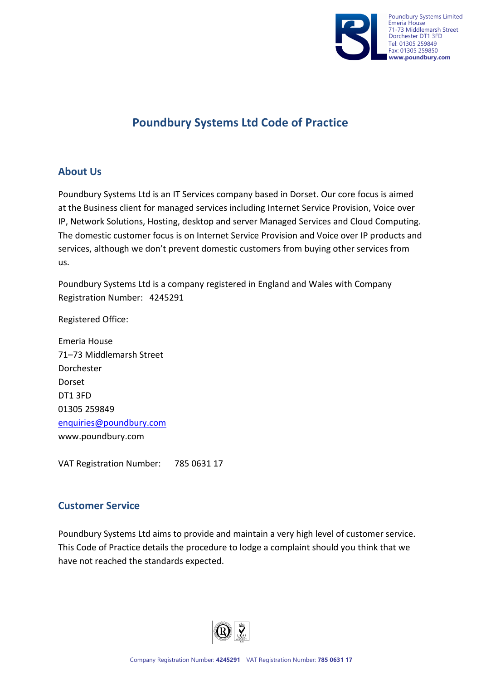

# **Poundbury Systems Ltd Code of Practice**

#### **About Us**

Poundbury Systems Ltd is an IT Services company based in Dorset. Our core focus is aimed at the Business client for managed services including Internet Service Provision, Voice over IP, Network Solutions, Hosting, desktop and server Managed Services and Cloud Computing. The domestic customer focus is on Internet Service Provision and Voice over IP products and services, although we don't prevent domestic customers from buying other services from us.

Poundbury Systems Ltd is a company registered in England and Wales with Company Registration Number: 4245291

Registered Office:

Emeria House 71–73 Middlemarsh Street Dorchester Dorset DT1 3FD 01305 259849 [enquiries@poundbury.com](mailto:enquiries@poundbury.com) www.poundbury.com

VAT Registration Number: 785 0631 17

#### **Customer Service**

Poundbury Systems Ltd aims to provide and maintain a very high level of customer service. This Code of Practice details the procedure to lodge a complaint should you think that we have not reached the standards expected.

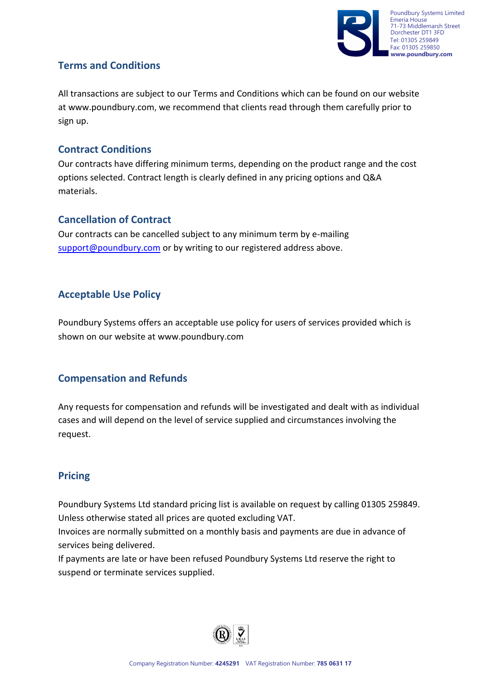

## **Terms and Conditions**

All transactions are subject to our Terms and Conditions which can be found on our website at [www.poundbury.com](http://www.poundbury.com/), we recommend that clients read through them carefully prior to sign up.

#### **Contract Conditions**

Our contracts have differing minimum terms, depending on the product range and the cost options selected. Contract length is clearly defined in any pricing options and Q&A materials.

#### **Cancellation of Contract**

Our contracts can be cancelled subject to any minimum term by e-mailing [support@poundbury.com](mailto:support@poundbury.com) or by writing to our registered address above.

#### **Acceptable Use Policy**

Poundbury Systems offers an acceptable use policy for users of services provided which is shown on our website at [www.poundbury.com](http://www.poundbury.com/)

#### **Compensation and Refunds**

Any requests for compensation and refunds will be investigated and dealt with as individual cases and will depend on the level of service supplied and circumstances involving the request.

# **Pricing**

Poundbury Systems Ltd standard pricing list is available on request by calling 01305 259849. Unless otherwise stated all prices are quoted excluding VAT.

Invoices are normally submitted on a monthly basis and payments are due in advance of services being delivered.

If payments are late or have been refused Poundbury Systems Ltd reserve the right to suspend or terminate services supplied.

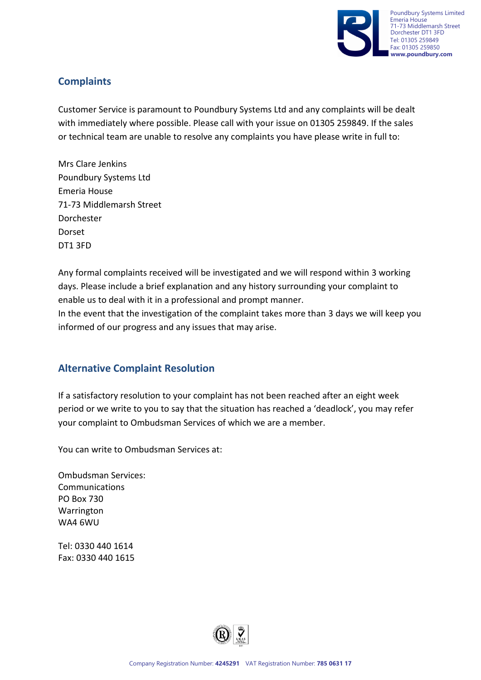

# **Complaints**

Customer Service is paramount to Poundbury Systems Ltd and any complaints will be dealt with immediately where possible. Please call with your issue on 01305 259849. If the sales or technical team are unable to resolve any complaints you have please write in full to:

Mrs Clare Jenkins Poundbury Systems Ltd Emeria House 71-73 Middlemarsh Street Dorchester Dorset DT1 3FD

Any formal complaints received will be investigated and we will respond within 3 working days. Please include a brief explanation and any history surrounding your complaint to enable us to deal with it in a professional and prompt manner.

In the event that the investigation of the complaint takes more than 3 days we will keep you informed of our progress and any issues that may arise.

#### **Alternative Complaint Resolution**

If a satisfactory resolution to your complaint has not been reached after an eight week period or we write to you to say that the situation has reached a 'deadlock', you may refer your complaint to Ombudsman Services of which we are a member.

You can write to Ombudsman Services at:

Ombudsman Services: Communications PO Box 730 Warrington WA4 6WU

Tel: 0330 440 1614 Fax: 0330 440 1615